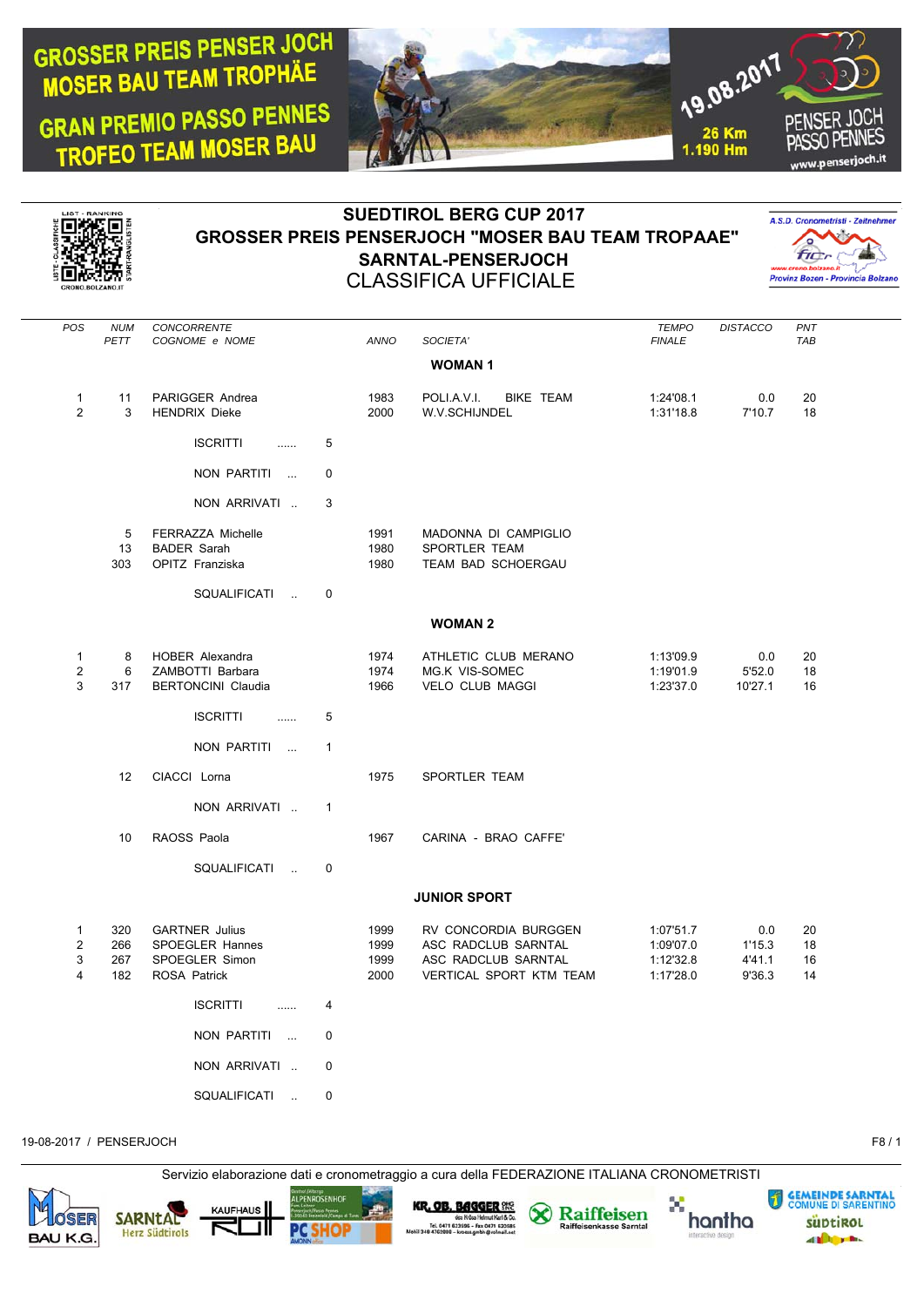## **GROSSER PREIS PENSER JOCH MOSER BAU TEAM TROPHAE**

**GRAN PREMIO PASSO PENNES** TROFEO TEAM MOSER BAU





## **SUEDTIROL BERG CUP 2017 GROSSER PREIS PENSERJOCH "MOSER BAU TEAM TROPAAE" SARNTAL-PENSERJOCH** CLASSIFICA UFFICIALE



| POS                                      | <b>NUM</b><br>PETT       | CONCORRENTE<br>COGNOME e NOME                                                            |              | ANNO                         | SOCIETA'                                                                                      | <b>TEMPO</b><br><b>FINALE</b>                    | <b>DISTACCO</b>                   | PNT<br><b>TAB</b>    |  |
|------------------------------------------|--------------------------|------------------------------------------------------------------------------------------|--------------|------------------------------|-----------------------------------------------------------------------------------------------|--------------------------------------------------|-----------------------------------|----------------------|--|
|                                          |                          |                                                                                          |              |                              | <b>WOMAN1</b>                                                                                 |                                                  |                                   |                      |  |
| $\mathbf{1}$<br>2                        | 11<br>3                  | PARIGGER Andrea<br><b>HENDRIX Dieke</b>                                                  |              | 1983<br>2000                 | POLI.A.V.I.<br><b>BIKE TEAM</b><br>W.V.SCHIJNDEL                                              | 1:24'08.1<br>1:31'18.8                           | 0.0<br>7'10.7                     | 20<br>18             |  |
|                                          |                          | <b>ISCRITTI</b><br>                                                                      | 5            |                              |                                                                                               |                                                  |                                   |                      |  |
|                                          |                          | NON PARTITI                                                                              | $\mathbf 0$  |                              |                                                                                               |                                                  |                                   |                      |  |
|                                          |                          | NON ARRIVATI                                                                             | 3            |                              |                                                                                               |                                                  |                                   |                      |  |
|                                          | 5<br>13<br>303           | <b>FERRAZZA Michelle</b><br><b>BADER Sarah</b><br>OPITZ Franziska                        |              | 1991<br>1980<br>1980         | MADONNA DI CAMPIGLIO<br>SPORTLER TEAM<br>TEAM BAD SCHOERGAU                                   |                                                  |                                   |                      |  |
|                                          |                          | SQUALIFICATI<br>$\mathbf{r}$                                                             | $\mathbf 0$  |                              |                                                                                               |                                                  |                                   |                      |  |
|                                          |                          |                                                                                          |              |                              | <b>WOMAN 2</b>                                                                                |                                                  |                                   |                      |  |
| $\mathbf{1}$<br>$\overline{2}$<br>3      | 8<br>6<br>317            | <b>HOBER Alexandra</b><br>ZAMBOTTI Barbara<br><b>BERTONCINI Claudia</b>                  |              | 1974<br>1974<br>1966         | ATHLETIC CLUB MERANO<br>MG.K VIS-SOMEC<br><b>VELO CLUB MAGGI</b>                              | 1:13'09.9<br>1:19'01.9<br>1:23'37.0              | 0.0<br>5'52.0<br>10'27.1          | 20<br>18<br>16       |  |
|                                          |                          | <b>ISCRITTI</b><br>.                                                                     | 5            |                              |                                                                                               |                                                  |                                   |                      |  |
|                                          |                          | NON PARTITI                                                                              | $\mathbf{1}$ |                              |                                                                                               |                                                  |                                   |                      |  |
|                                          | 12                       | CIACCI Lorna                                                                             |              | 1975                         | SPORTLER TEAM                                                                                 |                                                  |                                   |                      |  |
|                                          |                          | NON ARRIVATI                                                                             | $\mathbf{1}$ |                              |                                                                                               |                                                  |                                   |                      |  |
|                                          | 10                       | RAOSS Paola                                                                              |              | 1967                         | CARINA - BRAO CAFFE'                                                                          |                                                  |                                   |                      |  |
|                                          |                          | SQUALIFICATI<br>$\sim$                                                                   | $\mathbf 0$  |                              |                                                                                               |                                                  |                                   |                      |  |
|                                          |                          |                                                                                          |              |                              | <b>JUNIOR SPORT</b>                                                                           |                                                  |                                   |                      |  |
| $\mathbf{1}$<br>$\overline{2}$<br>3<br>4 | 320<br>266<br>267<br>182 | <b>GARTNER Julius</b><br><b>SPOEGLER Hannes</b><br>SPOEGLER Simon<br><b>ROSA Patrick</b> |              | 1999<br>1999<br>1999<br>2000 | RV CONCORDIA BURGGEN<br>ASC RADCLUB SARNTAL<br>ASC RADCLUB SARNTAL<br>VERTICAL SPORT KTM TEAM | 1:07'51.7<br>1:09'07.0<br>1:12'32.8<br>1:17'28.0 | 0.0<br>1'15.3<br>4'41.1<br>9'36.3 | 20<br>18<br>16<br>14 |  |
|                                          |                          | <b>ISCRITTI</b><br>.                                                                     | 4            |                              |                                                                                               |                                                  |                                   |                      |  |
|                                          |                          | NON PARTITI<br>$\sim$                                                                    | 0            |                              |                                                                                               |                                                  |                                   |                      |  |
|                                          |                          | NON ARRIVATI                                                                             | 0            |                              |                                                                                               |                                                  |                                   |                      |  |
|                                          |                          | SQUALIFICATI<br>$\sim$ .                                                                 | 0            |                              |                                                                                               |                                                  |                                   |                      |  |

19-08-2017 / PENSERJOCH F8 / 1

Servizio elaborazione dati e cronometraggio a cura della FEDERAZIONE ITALIANA CRONOMETRISTI



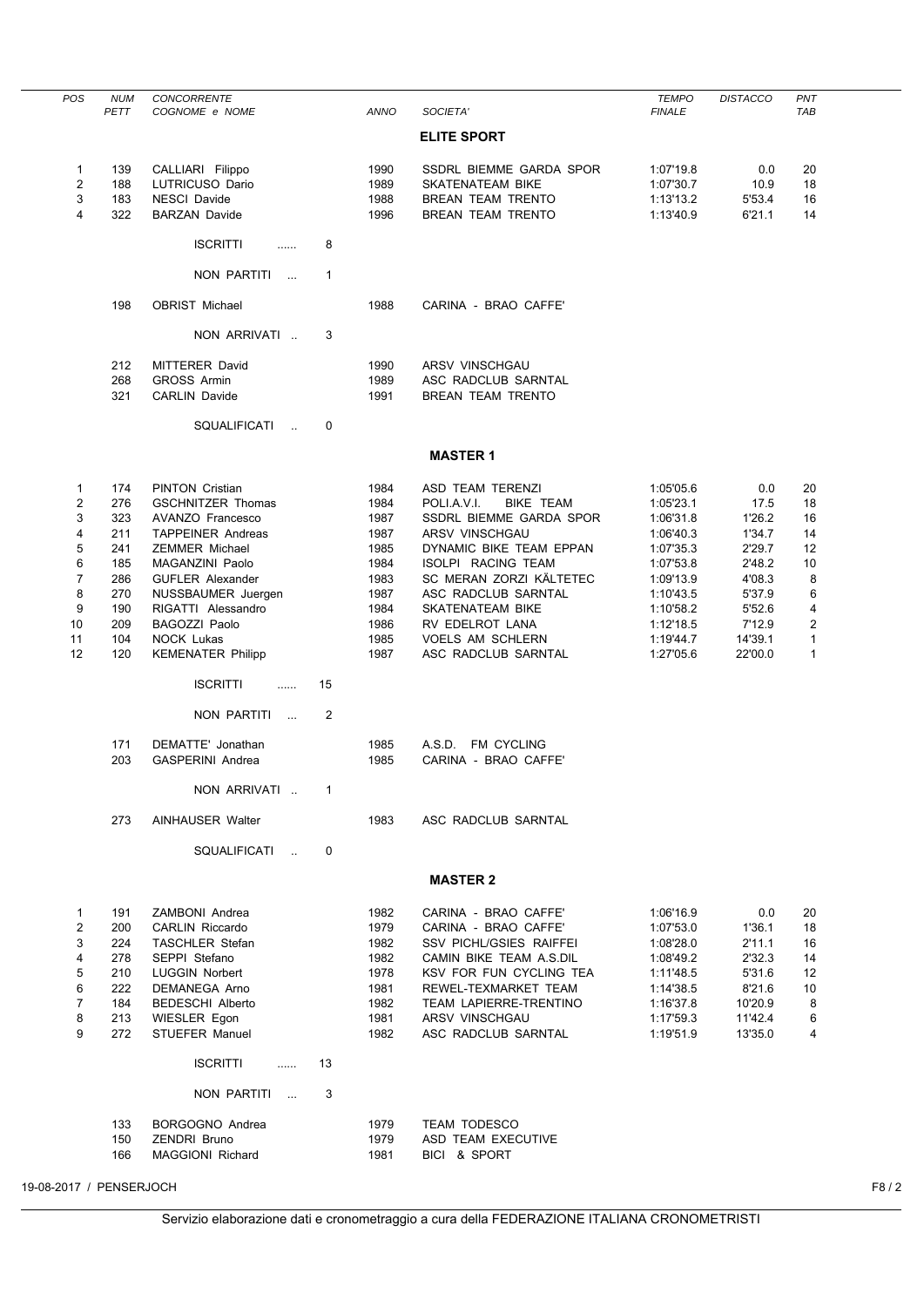| <b>POS</b>              | <b>NUM</b> | CONCORRENTE                         |                |              |                                     | <b>TEMPO</b>           | <b>DISTACCO</b>  | PNT            |      |
|-------------------------|------------|-------------------------------------|----------------|--------------|-------------------------------------|------------------------|------------------|----------------|------|
|                         | PETT       | COGNOME e NOME                      |                | <b>ANNO</b>  | SOCIETA'                            | <b>FINALE</b>          |                  | TAB            |      |
|                         |            |                                     |                |              | <b>ELITE SPORT</b>                  |                        |                  |                |      |
| 1                       | 139        | CALLIARI Filippo                    |                | 1990         | <b>SSDRL BIEMME GARDA SPOR</b>      | 1:07'19.8              | 0.0              | 20             |      |
| $\overline{2}$          | 188        | LUTRICUSO Dario                     |                | 1989         | <b>SKATENATEAM BIKE</b>             | 1:07'30.7              | 10.9             | 18             |      |
| 3                       | 183        | <b>NESCI Davide</b>                 |                | 1988         | <b>BREAN TEAM TRENTO</b>            | 1:13'13.2              | 5'53.4           | 16             |      |
| 4                       | 322        | <b>BARZAN Davide</b>                |                | 1996         | BREAN TEAM TRENTO                   | 1:13'40.9              | 6'21.1           | 14             |      |
|                         |            | <b>ISCRITTI</b><br>                 | 8              |              |                                     |                        |                  |                |      |
|                         |            | NON PARTITI<br>$\sim$ .             | 1              |              |                                     |                        |                  |                |      |
|                         | 198        | OBRIST Michael                      |                | 1988         | CARINA - BRAO CAFFE'                |                        |                  |                |      |
|                         |            | NON ARRIVATI                        | 3              |              |                                     |                        |                  |                |      |
|                         | 212        | <b>MITTERER David</b>               |                | 1990         | ARSV VINSCHGAU                      |                        |                  |                |      |
|                         | 268        | <b>GROSS Armin</b>                  |                | 1989         | ASC RADCLUB SARNTAL                 |                        |                  |                |      |
|                         | 321        | <b>CARLIN Davide</b>                |                | 1991         | BREAN TEAM TRENTO                   |                        |                  |                |      |
|                         |            | SQUALIFICATI<br>$\mathbf{a}$        | 0              |              |                                     |                        |                  |                |      |
|                         |            |                                     |                |              | <b>MASTER 1</b>                     |                        |                  |                |      |
|                         |            |                                     |                |              |                                     |                        |                  |                |      |
| 1                       | 174        | <b>PINTON Cristian</b>              |                | 1984         | ASD TEAM TERENZI                    | 1:05'05.6              | 0.0              | 20             |      |
| 2                       | 276        | <b>GSCHNITZER Thomas</b>            |                | 1984         | POLI.A.V.I.<br><b>BIKE TEAM</b>     | 1:05'23.1              | 17.5             | 18             |      |
| 3                       | 323        | AVANZO Francesco                    |                | 1987         | SSDRL BIEMME GARDA SPOR             | 1:06'31.8              | 1'26.2           | 16             |      |
| 4                       | 211        | <b>TAPPEINER Andreas</b>            |                | 1987         | ARSV VINSCHGAU                      | 1:06'40.3              | 1'34.7           | 14             |      |
| 5                       | 241        | <b>ZEMMER Michael</b>               |                | 1985         | DYNAMIC BIKE TEAM EPPAN             | 1:07'35.3              | 2'29.7           | 12             |      |
| 6                       | 185        | MAGANZINI Paolo                     |                | 1984         | ISOLPI RACING TEAM                  | 1:07'53.8              | 2'48.2           | 10             |      |
| 7                       | 286        | <b>GUFLER Alexander</b>             |                | 1983         | SC MERAN ZORZI KÄLTETEC             | 1:09'13.9              | 4'08.3           | 8              |      |
| 8<br>9                  | 270        | NUSSBAUMER Juergen                  |                | 1987         | ASC RADCLUB SARNTAL                 | 1:10'43.5              | 5'37.9<br>5'52.6 | 6<br>4         |      |
| 10                      | 190<br>209 | RIGATTI Alessandro<br>BAGOZZI Paolo |                | 1984<br>1986 | SKATENATEAM BIKE<br>RV EDELROT LANA | 1:10'58.2<br>1:12'18.5 | 7'12.9           | $\overline{2}$ |      |
| 11                      | 104        | <b>NOCK Lukas</b>                   |                | 1985         | <b>VOELS AM SCHLERN</b>             | 1:19'44.7              | 14'39.1          | $\mathbf{1}$   |      |
| 12                      | 120        | <b>KEMENATER Philipp</b>            |                | 1987         | ASC RADCLUB SARNTAL                 | 1:27'05.6              | 22'00.0          | $\mathbf{1}$   |      |
|                         |            |                                     |                |              |                                     |                        |                  |                |      |
|                         |            | <b>ISCRITTI</b><br>.                | 15             |              |                                     |                        |                  |                |      |
|                         |            | NON PARTITI<br>$\sim$               | $\overline{2}$ |              |                                     |                        |                  |                |      |
|                         | 171        | DEMATTE' Jonathan                   |                | 1985         | A.S.D. FM CYCLING                   |                        |                  |                |      |
|                         | 203        | <b>GASPERINI Andrea</b>             |                | 1985         | CARINA - BRAO CAFFE'                |                        |                  |                |      |
|                         |            | NON ARRIVATI                        | $\mathbf{1}$   |              |                                     |                        |                  |                |      |
|                         |            |                                     |                |              |                                     |                        |                  |                |      |
|                         | 273        | <b>AINHAUSER Walter</b>             |                | 1983         | ASC RADCLUB SARNTAL                 |                        |                  |                |      |
|                         |            | SQUALIFICATI<br>$\sim$              | 0              |              |                                     |                        |                  |                |      |
|                         |            |                                     |                |              | <b>MASTER 2</b>                     |                        |                  |                |      |
| 1                       | 191        | ZAMBONI Andrea                      |                | 1982         | CARINA - BRAO CAFFE'                | 1:06'16.9              | 0.0              | 20             |      |
| $\overline{2}$          | 200        | <b>CARLIN Riccardo</b>              |                | 1979         | CARINA - BRAO CAFFE'                | 1:07'53.0              | 1'36.1           | 18             |      |
| 3                       | 224        | <b>TASCHLER Stefan</b>              |                | 1982         | SSV PICHL/GSIES RAIFFEI             | 1:08'28.0              | 2'11.1           | 16             |      |
| 4                       | 278        | SEPPI Stefano                       |                | 1982         | CAMIN BIKE TEAM A.S.DIL             | 1:08'49.2              | 2'32.3           | 14             |      |
| 5                       | 210        | <b>LUGGIN Norbert</b>               |                | 1978         | KSV FOR FUN CYCLING TEA             | 1:11'48.5              | 5'31.6           | 12             |      |
| 6                       | 222        | DEMANEGA Arno                       |                | 1981         | REWEL-TEXMARKET TEAM                | 1:14'38.5              | 8'21.6           | 10             |      |
| $\overline{7}$          | 184        | <b>BEDESCHI Alberto</b>             |                | 1982         | <b>TEAM LAPIERRE-TRENTINO</b>       | 1:16'37.8              | 10'20.9          | 8              |      |
| 8                       | 213        | <b>WIESLER Egon</b>                 |                | 1981         | ARSV VINSCHGAU                      | 1:17'59.3              | 11'42.4          | 6              |      |
| 9                       | 272        | <b>STUEFER Manuel</b>               |                | 1982         | ASC RADCLUB SARNTAL                 | 1:19'51.9              | 13'35.0          | 4              |      |
|                         |            | <b>ISCRITTI</b><br>.                | 13             |              |                                     |                        |                  |                |      |
|                         |            | NON PARTITI<br>$\sim 100$           | 3              |              |                                     |                        |                  |                |      |
|                         | 133        | BORGOGNO Andrea                     |                | 1979         | <b>TEAM TODESCO</b>                 |                        |                  |                |      |
|                         | 150        | <b>ZENDRI Bruno</b>                 |                | 1979         | ASD TEAM EXECUTIVE                  |                        |                  |                |      |
|                         | 166        | <b>MAGGIONI Richard</b>             |                | 1981         | BICI & SPORT                        |                        |                  |                |      |
|                         |            |                                     |                |              |                                     |                        |                  |                |      |
| 19-08-2017 / PENSERJOCH |            |                                     |                |              |                                     |                        |                  |                | F8/2 |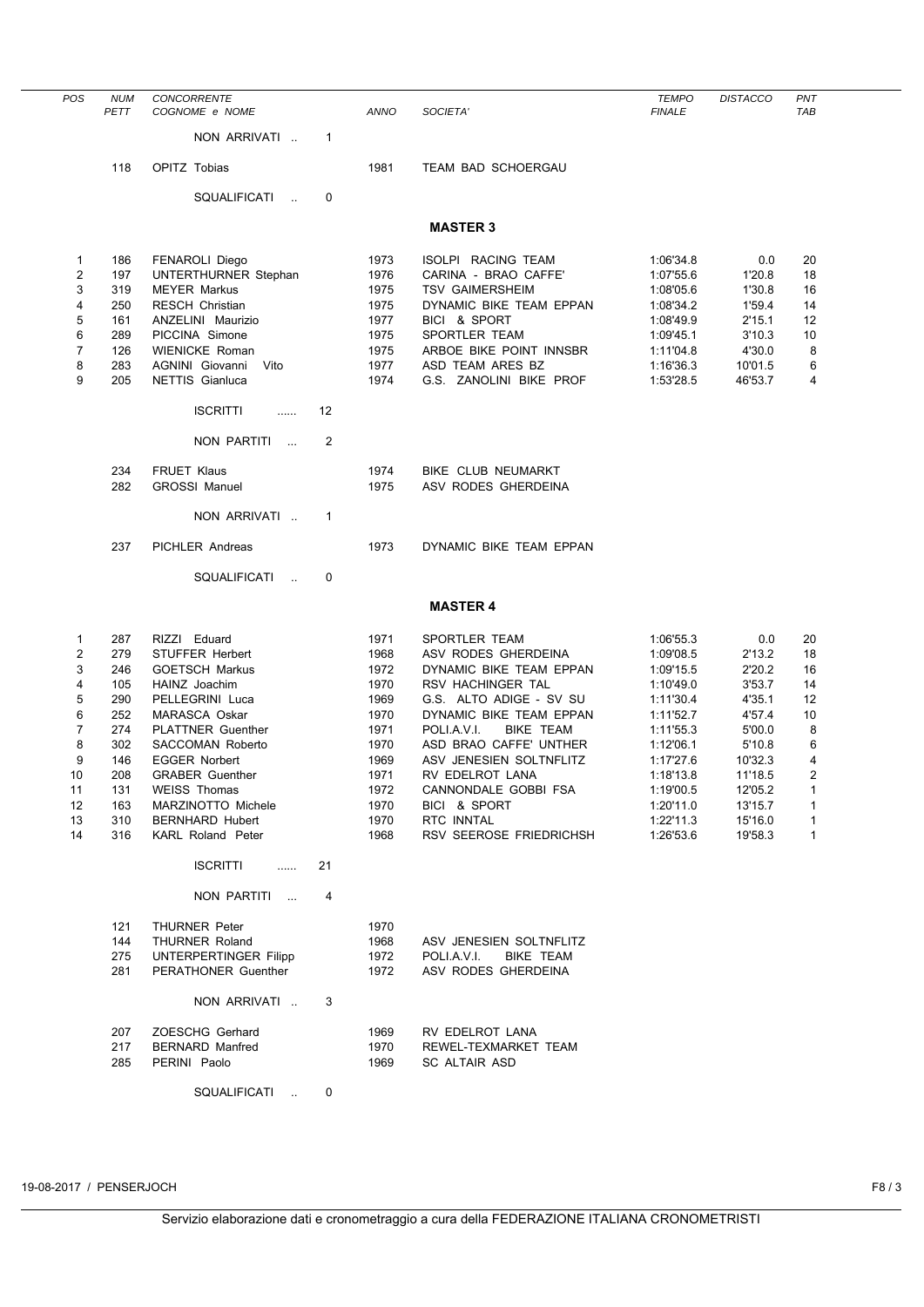| POS            | <b>NUM</b><br>PETT | <b>CONCORRENTE</b><br>COGNOME e NOME          |                   | ANNO         | SOCIETA'                                       | <b>TEMPO</b><br><b>FINALE</b> | <b>DISTACCO</b>  | PNT<br><b>TAB</b> |
|----------------|--------------------|-----------------------------------------------|-------------------|--------------|------------------------------------------------|-------------------------------|------------------|-------------------|
|                |                    |                                               |                   |              |                                                |                               |                  |                   |
|                |                    | NON ARRIVATI                                  | $\mathbf{1}$      |              |                                                |                               |                  |                   |
|                | 118                | OPITZ Tobias                                  |                   | 1981         | <b>TEAM BAD SCHOERGAU</b>                      |                               |                  |                   |
|                |                    |                                               |                   |              |                                                |                               |                  |                   |
|                |                    | SQUALIFICATI<br>$\ddot{\phantom{a}}$          | 0                 |              |                                                |                               |                  |                   |
|                |                    |                                               |                   |              | <b>MASTER 3</b>                                |                               |                  |                   |
|                |                    |                                               |                   |              |                                                |                               |                  |                   |
| $\mathbf{1}$   | 186                | <b>FENAROLI Diego</b>                         |                   | 1973         | ISOLPI RACING TEAM                             | 1:06'34.8                     | 0.0              | 20                |
| 2<br>3         | 197                | <b>UNTERTHURNER Stephan</b>                   |                   | 1976         | CARINA - BRAO CAFFE'<br><b>TSV GAIMERSHEIM</b> | 1:07'55.6                     | 1'20.8<br>1'30.8 | 18<br>16          |
| 4              | 319<br>250         | <b>MEYER Markus</b><br><b>RESCH Christian</b> |                   | 1975<br>1975 | DYNAMIC BIKE TEAM EPPAN                        | 1:08'05.6<br>1:08'34.2        | 1'59.4           | 14                |
| 5              | 161                | ANZELINI Maurizio                             |                   | 1977         | BICI & SPORT                                   | 1:08'49.9                     | 2'15.1           | 12                |
| 6              | 289                | PICCINA Simone                                |                   | 1975         | SPORTLER TEAM                                  | 1:09'45.1                     | 3'10.3           | 10                |
| 7              | 126                | <b>WIENICKE Roman</b>                         |                   | 1975         | ARBOE BIKE POINT INNSBR                        | 1:11'04.8                     | 4'30.0           | 8                 |
| 8              | 283                | AGNINI Giovanni<br>Vito                       |                   | 1977         | ASD TEAM ARES BZ                               | 1:16'36.3                     | 10'01.5          | 6                 |
| 9              | 205                | NETTIS Gianluca                               |                   | 1974         | G.S. ZANOLINI BIKE PROF                        | 1:53'28.5                     | 46'53.7          | 4                 |
|                |                    |                                               |                   |              |                                                |                               |                  |                   |
|                |                    | <b>ISCRITTI</b><br>.                          | $12 \overline{ }$ |              |                                                |                               |                  |                   |
|                |                    | NON PARTITI<br>$\sim$                         | 2                 |              |                                                |                               |                  |                   |
|                |                    |                                               |                   |              |                                                |                               |                  |                   |
|                | 234                | <b>FRUET Klaus</b>                            |                   | 1974         | BIKE CLUB NEUMARKT                             |                               |                  |                   |
|                | 282                | <b>GROSSI Manuel</b>                          |                   | 1975         | ASV RODES GHERDEINA                            |                               |                  |                   |
|                |                    | NON ARRIVATI                                  | $\mathbf{1}$      |              |                                                |                               |                  |                   |
|                |                    |                                               |                   |              |                                                |                               |                  |                   |
|                | 237                | PICHLER Andreas                               |                   | 1973         | DYNAMIC BIKE TEAM EPPAN                        |                               |                  |                   |
|                |                    | SQUALIFICATI<br>$\sim$                        | 0                 |              |                                                |                               |                  |                   |
|                |                    |                                               |                   |              |                                                |                               |                  |                   |
|                |                    |                                               |                   |              | <b>MASTER 4</b>                                |                               |                  |                   |
| 1              | 287                | RIZZI Eduard                                  |                   | 1971         | <b>SPORTLER TEAM</b>                           | 1:06'55.3                     | 0.0              | 20                |
| 2              | 279                | <b>STUFFER Herbert</b>                        |                   | 1968         | ASV RODES GHERDEINA                            | 1:09'08.5                     | 2'13.2           | 18                |
| 3              | 246                | <b>GOETSCH Markus</b>                         |                   | 1972         | DYNAMIC BIKE TEAM EPPAN                        | 1:09'15.5                     | 2'20.2           | 16                |
| 4              | 105                | HAINZ Joachim                                 |                   | 1970         | RSV HACHINGER TAL                              | 1:10'49.0                     | 3'53.7           | 14                |
| 5              | 290                | PELLEGRINI Luca                               |                   | 1969         | G.S. ALTO ADIGE - SV SU                        | 1:11'30.4                     | 4'35.1           | 12                |
| 6              | 252                | <b>MARASCA Oskar</b>                          |                   | 1970         | DYNAMIC BIKE TEAM EPPAN                        | 1:11'52.7                     | 4'57.4           | 10                |
| $\overline{7}$ | 274                | <b>PLATTNER Guenther</b>                      |                   | 1971         | POLI.A.V.I.<br><b>BIKE TEAM</b>                | 1:11'55.3                     | 5'00.0           | 8                 |
| 8              | 302                | <b>SACCOMAN Roberto</b>                       |                   | 1970         | ASD BRAO CAFFE' UNTHER                         | 1:12'06.1                     | 5'10.8           | 6                 |
| 9              | 146                | <b>EGGER Norbert</b>                          |                   | 1969         | ASV JENESIEN SOLTNFLITZ                        | 1:17'27.6                     | 10'32.3          | 4                 |
| 10             | 208                | <b>GRABER Guenther</b>                        |                   | 1971         | RV EDELROT LANA                                | 1:18'13.8                     | 11'18.5          | 2                 |
| 11             | 131                | <b>WEISS Thomas</b>                           |                   | 1972         | CANNONDALE GOBBI FSA                           | 1:19'00.5                     | 12'05.2          | 1                 |
| 12             | 163                | MARZINOTTO Michele                            |                   | 1970         | BICI & SPORT                                   | 1:20'11.0                     | 13'15.7          | 1                 |
| 13             | 310                | <b>BERNHARD Hubert</b>                        |                   | 1970         | RTC INNTAL                                     | 1:22'11.3                     | 15'16.0          | 1                 |
| 14             | 316                | <b>KARL Roland Peter</b>                      |                   | 1968         | RSV SEEROSE FRIEDRICHSH                        | 1:26'53.6                     | 19'58.3          | 1                 |
|                |                    | <b>ISCRITTI</b><br>$\cdots$                   | 21                |              |                                                |                               |                  |                   |
|                |                    |                                               |                   |              |                                                |                               |                  |                   |
|                |                    | NON PARTITI<br>$\sim$                         | 4                 |              |                                                |                               |                  |                   |
|                | 121                | <b>THURNER Peter</b>                          |                   | 1970         |                                                |                               |                  |                   |
|                | 144                | <b>THURNER Roland</b>                         |                   | 1968         | ASV JENESIEN SOLTNFLITZ                        |                               |                  |                   |
|                | 275                | UNTERPERTINGER Filipp                         |                   | 1972         | POLI.A.V.I.<br><b>BIKE TEAM</b>                |                               |                  |                   |
|                | 281                | PERATHONER Guenther                           |                   | 1972         | ASV RODES GHERDEINA                            |                               |                  |                   |
|                |                    | NON ARRIVATI                                  | 3                 |              |                                                |                               |                  |                   |
|                |                    |                                               |                   |              |                                                |                               |                  |                   |
|                | 207                | ZOESCHG Gerhard                               |                   | 1969         | RV EDELROT LANA                                |                               |                  |                   |
|                | 217                | <b>BERNARD Manfred</b>                        |                   | 1970         | REWEL-TEXMARKET TEAM                           |                               |                  |                   |
|                | 285                | PERINI Paolo                                  |                   | 1969         | <b>SC ALTAIR ASD</b>                           |                               |                  |                   |
|                |                    | SQUALIFICATI<br>$\sim$                        | 0                 |              |                                                |                               |                  |                   |
|                |                    |                                               |                   |              |                                                |                               |                  |                   |

19-08-2017 / PENSERJOCH F8 / 3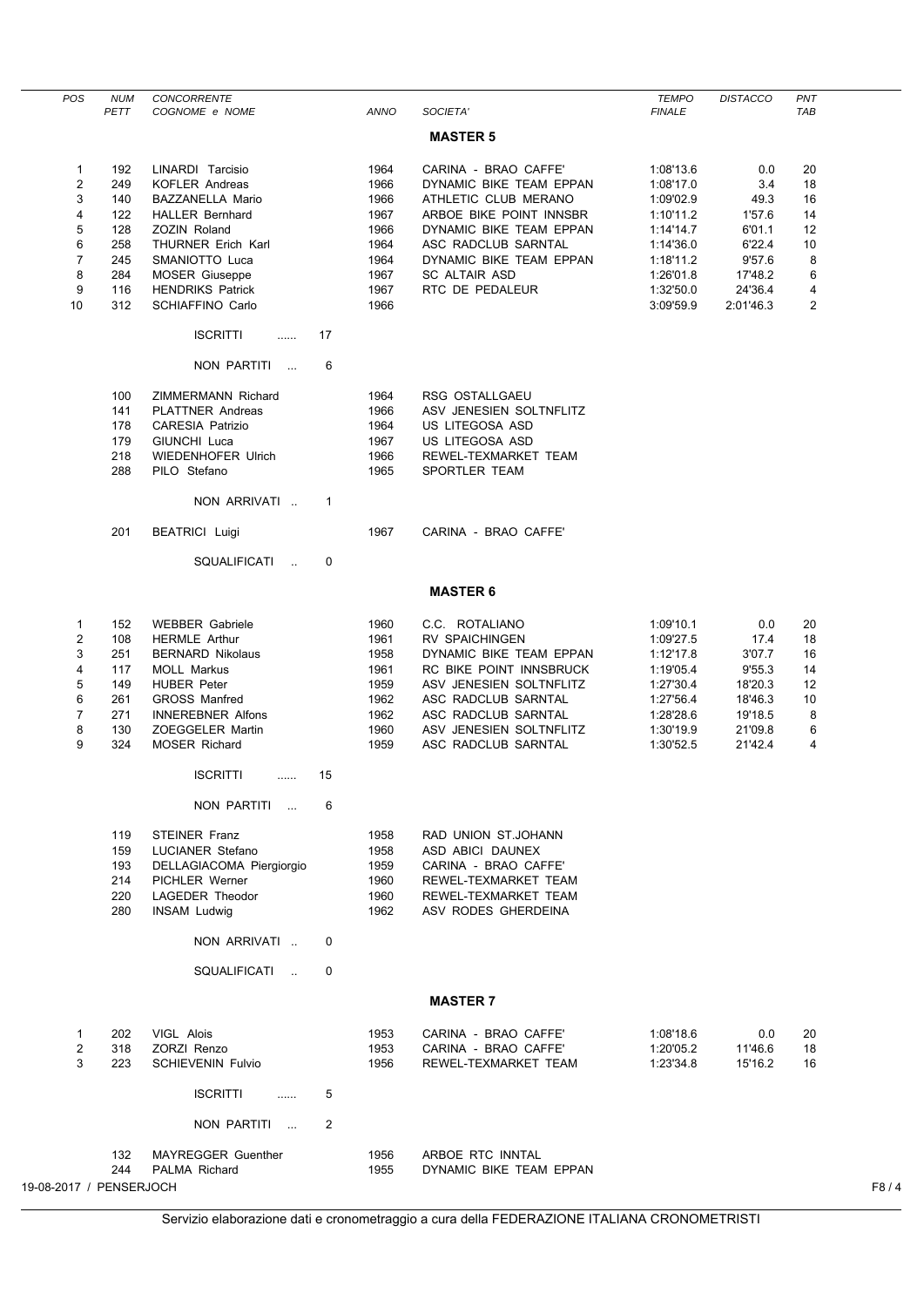| <b>POS</b>              | <b>NUM</b> | CONCORRENTE                               |                |             |                         | <b>TEMPO</b>  | <b>DISTACCO</b> | PNT      |      |
|-------------------------|------------|-------------------------------------------|----------------|-------------|-------------------------|---------------|-----------------|----------|------|
|                         | PETT       | COGNOME e NOME                            |                | <b>ANNO</b> | SOCIETA'                | <b>FINALE</b> |                 | TAB      |      |
|                         |            |                                           |                |             | <b>MASTER 5</b>         |               |                 |          |      |
|                         |            |                                           |                |             |                         |               |                 |          |      |
| $\mathbf{1}$            | 192        | LINARDI Tarcisio<br><b>KOFLER Andreas</b> |                | 1964        | CARINA - BRAO CAFFE'    | 1:08'13.6     | 0.0             | 20<br>18 |      |
| 2                       | 249        |                                           |                | 1966        | DYNAMIC BIKE TEAM EPPAN | 1:08'17.0     | 3.4             |          |      |
| 3                       | 140        | <b>BAZZANELLA Mario</b>                   |                | 1966        | ATHLETIC CLUB MERANO    | 1:09'02.9     | 49.3            | 16       |      |
| 4                       | 122        | <b>HALLER Bernhard</b>                    |                | 1967        | ARBOE BIKE POINT INNSBR | 1:10'11.2     | 1'57.6          | 14       |      |
| 5                       | 128        | ZOZIN Roland                              |                | 1966        | DYNAMIC BIKE TEAM EPPAN | 1:14'14.7     | 6'01.1          | 12       |      |
| 6                       | 258        | THURNER Erich Karl                        |                | 1964        | ASC RADCLUB SARNTAL     | 1:14'36.0     | 6'22.4          | 10       |      |
| 7                       | 245        | SMANIOTTO Luca                            |                | 1964        | DYNAMIC BIKE TEAM EPPAN | 1:18'11.2     | 9'57.6          | 8        |      |
| 8                       | 284        | <b>MOSER Giuseppe</b>                     |                | 1967        | SC ALTAIR ASD           | 1:26'01.8     | 17'48.2         | 6        |      |
| 9                       | 116        | <b>HENDRIKS Patrick</b>                   |                | 1967        | RTC DE PEDALEUR         | 1:32'50.0     | 24'36.4         | 4        |      |
| 10                      | 312        | SCHIAFFINO Carlo                          |                | 1966        |                         | 3:09'59.9     | 2:01'46.3       | 2        |      |
|                         |            | <b>ISCRITTI</b><br>.                      | 17             |             |                         |               |                 |          |      |
|                         |            | NON PARTITI<br>$\sim$                     | 6              |             |                         |               |                 |          |      |
|                         | 100        | <b>ZIMMERMANN Richard</b>                 |                | 1964        | RSG OSTALLGAEU          |               |                 |          |      |
|                         | 141        | <b>PLATTNER Andreas</b>                   |                | 1966        | ASV JENESIEN SOLTNFLITZ |               |                 |          |      |
|                         | 178        | <b>CARESIA Patrizio</b>                   |                | 1964        | US LITEGOSA ASD         |               |                 |          |      |
|                         | 179        | GIUNCHI Luca                              |                | 1967        | US LITEGOSA ASD         |               |                 |          |      |
|                         | 218        | <b>WIEDENHOFER Ulrich</b>                 |                | 1966        | REWEL-TEXMARKET TEAM    |               |                 |          |      |
|                         | 288        | PILO Stefano                              |                | 1965        | SPORTLER TEAM           |               |                 |          |      |
|                         |            |                                           |                |             |                         |               |                 |          |      |
|                         |            | NON ARRIVATI                              | -1             |             |                         |               |                 |          |      |
|                         | 201        | <b>BEATRICI Luigi</b>                     |                | 1967        | CARINA - BRAO CAFFE'    |               |                 |          |      |
|                         |            | SQUALIFICATI<br>$\sim$                    | 0              |             |                         |               |                 |          |      |
|                         |            |                                           |                |             | <b>MASTER 6</b>         |               |                 |          |      |
| 1                       | 152        | <b>WEBBER Gabriele</b>                    |                | 1960        | C.C. ROTALIANO          | 1:09'10.1     | 0.0             | 20       |      |
| 2                       | 108        | <b>HERMLE Arthur</b>                      |                | 1961        | <b>RV SPAICHINGEN</b>   | 1:09'27.5     | 17.4            | 18       |      |
| 3                       | 251        | <b>BERNARD Nikolaus</b>                   |                | 1958        | DYNAMIC BIKE TEAM EPPAN | 1:12'17.8     | 3'07.7          | 16       |      |
| 4                       | 117        | <b>MOLL Markus</b>                        |                | 1961        | RC BIKE POINT INNSBRUCK | 1:19'05.4     | 9'55.3          | 14       |      |
| 5                       | 149        | <b>HUBER Peter</b>                        |                | 1959        | ASV JENESIEN SOLTNFLITZ | 1:27'30.4     | 18'20.3         | 12       |      |
| 6                       | 261        | <b>GROSS Manfred</b>                      |                | 1962        | ASC RADCLUB SARNTAL     | 1:27'56.4     | 18'46.3         | 10       |      |
| 7                       | 271        | <b>INNEREBNER Alfons</b>                  |                | 1962        | ASC RADCLUB SARNTAL     | 1:28'28.6     | 19'18.5         | 8        |      |
| 8                       | 130        | ZOEGGELER Martin                          |                | 1960        | ASV JENESIEN SOLTNFLITZ | 1:30'19.9     | 21'09.8         | 6        |      |
| 9                       | 324        | <b>MOSER Richard</b>                      |                | 1959        | ASC RADCLUB SARNTAL     | 1:30'52.5     | 21'42.4         | 4        |      |
|                         |            | <b>ISCRITTI</b><br>                       | 15             |             |                         |               |                 |          |      |
|                         |            | NON PARTITI                               | 6              |             |                         |               |                 |          |      |
|                         |            |                                           |                |             |                         |               |                 |          |      |
|                         | 119        | <b>STEINER Franz</b>                      |                | 1958        | RAD UNION ST.JOHANN     |               |                 |          |      |
|                         | 159        | LUCIANER Stefano                          |                | 1958        | ASD ABICI DAUNEX        |               |                 |          |      |
|                         | 193        | DELLAGIACOMA Piergiorgio                  |                | 1959        | CARINA - BRAO CAFFE'    |               |                 |          |      |
|                         | 214        | <b>PICHLER Werner</b>                     |                | 1960        | REWEL-TEXMARKET TEAM    |               |                 |          |      |
|                         | 220        | LAGEDER Theodor                           |                | 1960        | REWEL-TEXMARKET TEAM    |               |                 |          |      |
|                         | 280        | <b>INSAM Ludwig</b>                       |                | 1962        | ASV RODES GHERDEINA     |               |                 |          |      |
|                         |            | NON ARRIVATI                              | 0              |             |                         |               |                 |          |      |
|                         |            | SQUALIFICATI<br>$\sim$                    | $\mathbf 0$    |             |                         |               |                 |          |      |
|                         |            |                                           |                |             |                         |               |                 |          |      |
|                         |            |                                           |                |             | <b>MASTER 7</b>         |               |                 |          |      |
| $\mathbf{1}$            | 202        | VIGL Alois                                |                | 1953        | CARINA - BRAO CAFFE'    | 1:08'18.6     | $0.0\,$         | 20       |      |
| 2                       | 318        | ZORZI Renzo                               |                | 1953        | CARINA - BRAO CAFFE'    | 1:20'05.2     | 11'46.6         | 18       |      |
| 3                       | 223        | <b>SCHIEVENIN Fulvio</b>                  |                | 1956        | REWEL-TEXMARKET TEAM    | 1:23'34.8     | 15'16.2         | 16       |      |
|                         |            |                                           |                |             |                         |               |                 |          |      |
|                         |            | <b>ISCRITTI</b><br>.                      | 5              |             |                         |               |                 |          |      |
|                         |            |                                           |                |             |                         |               |                 |          |      |
|                         |            | NON PARTITI<br>$\sim 100$                 | $\overline{2}$ |             |                         |               |                 |          |      |
|                         | 132        | <b>MAYREGGER Guenther</b>                 |                | 1956        | ARBOE RTC INNTAL        |               |                 |          |      |
|                         | 244        | PALMA Richard                             |                | 1955        | DYNAMIC BIKE TEAM EPPAN |               |                 |          |      |
| 19-08-2017 / PENSERJOCH |            |                                           |                |             |                         |               |                 |          | F8/4 |